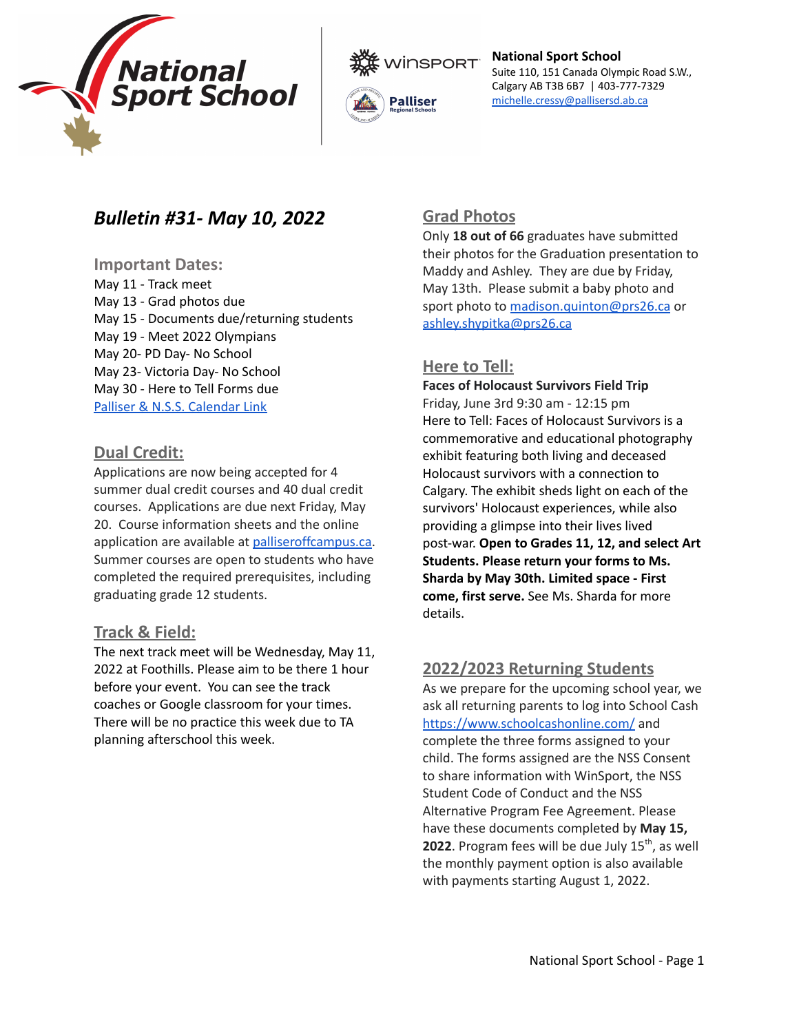





# *Bulletin #31- May 10, 2022*

#### **Important Dates:**

May 11 - Track meet May 13 - Grad photos due May 15 - Documents due/returning students May 19 - Meet 2022 Olympians May 20- PD Day- No School May 23- Victoria Day- No School May 30 - Here to Tell Forms due Palliser & N.S.S. [Calendar](https://nss.pallisersd.ab.ca/calendar#/month/2022/03) Link

# **Dual Credit:**

Applications are now being accepted for 4 summer dual credit courses and 40 dual credit courses. Applications are due next Friday, May 20. Course information sheets and the online application are available at [palliseroffcampus.ca](http://palliseroffcampus.ca/). Summer courses are open to students who have completed the required prerequisites, including graduating grade 12 students.

# **Track & Field:**

The next track meet will be Wednesday, May 11, 2022 at Foothills. Please aim to be there 1 hour before your event. You can see the track coaches or Google classroom for your times. There will be no practice this week due to TA planning afterschool this week.

# **Grad Photos**

Only **18 out of 66** graduates have submitted their photos for the Graduation presentation to Maddy and Ashley. They are due by Friday, May 13th. Please submit a baby photo and sport photo to [madison.quinton@prs26.ca](mailto:madison.quinton@prs26.ca) or [ashley.shypitka@prs26.ca](mailto:ashley.shypitka@prs26.ca)

# **Here to Tell:**

## **Faces of Holocaust Survivors Field Trip** Friday, June 3rd 9:30 am - 12:15 pm Here to Tell: Faces of Holocaust Survivors is a commemorative and educational photography exhibit featuring both living and deceased Holocaust survivors with a connection to Calgary. The exhibit sheds light on each of the survivors' Holocaust experiences, while also providing a glimpse into their lives lived post-war. **Open to Grades 11, 12, and select Art Students. Please return your forms to Ms. Sharda by May 30th. Limited space - First come, first serve.** See Ms. Sharda for more details.

# **2022/2023 Returning Students**

As we prepare for the upcoming school year, we ask all returning parents to log into School Cash <https://www.schoolcashonline.com/> and complete the three forms assigned to your child. The forms assigned are the NSS Consent to share information with WinSport, the NSS Student Code of Conduct and the NSS Alternative Program Fee Agreement. Please have these documents completed by **May 15, 2022**. Program fees will be due July 15<sup>th</sup>, as well the monthly payment option is also available with payments starting August 1, 2022.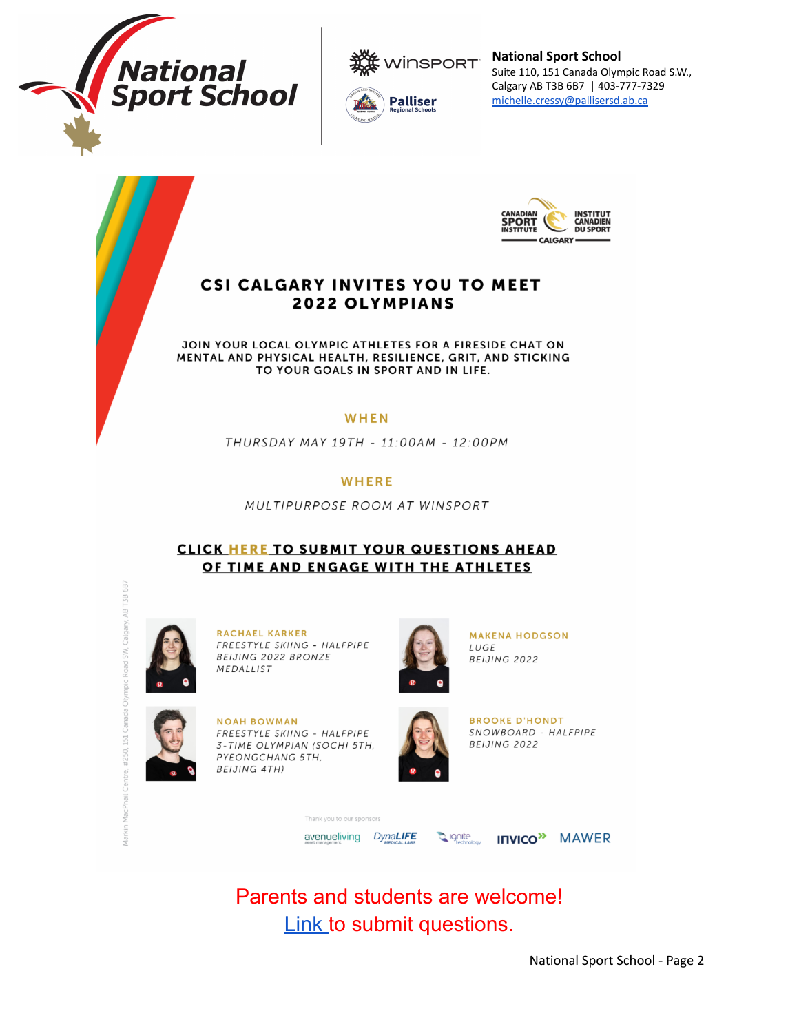







# **CSI CALGARY INVITES YOU TO MEET 2022 OLYMPIANS**

JOIN YOUR LOCAL OLYMPIC ATHLETES FOR A FIRESIDE CHAT ON MENTAL AND PHYSICAL HEALTH, RESILIENCE, GRIT, AND STICKING TO YOUR GOALS IN SPORT AND IN LIFE.

#### WHEN

THURSDAY MAY 19TH - 11:00AM - 12:00PM

#### **WHERE**

MULTIPURPOSE ROOM AT WINSPORT

## **CLICK HERE TO SUBMIT YOUR QUESTIONS AHEAD** OF TIME AND ENGAGE WITH THE ATHLETES



RACHAEL KARKER FREESTYLE SKIING - HALFPIPE BEIJING 2022 BRONZE MEDALLIST

**NOAH BOWMAN** 

PYEONGCHANG 5TH, **BEIJING 4TH)** 



**MAKENA HODGSON** LUGE BEIJING 2022



**BROOKE D'HONDT** SNOWBOARD - HALFPIPE BEIJING 2022

ank you to our spo avenueliving DynaLIFE **Q** ignite **INVICO<sup>>></sup>** MAWER

Parents and students are welcome! **Link to submit questions.** 

National Sport School - Page 2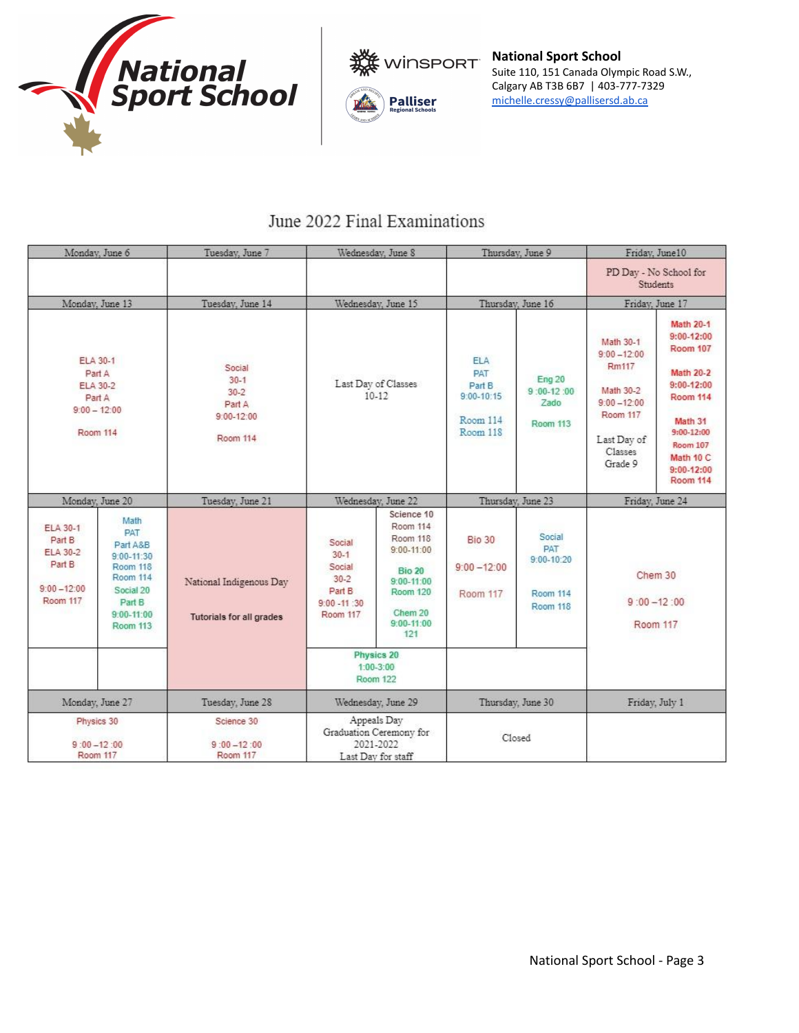





# June 2022 Final Examinations

| Monday, June 6                                                                              |                                                                                                                                                    | Tuesday, June 7                                                               | Wednesday, June 8                                                                 |                                                                                                                                                | Thursday, June 9                                                      |                                                                       | Friday, June10                                                                                                       |                                                                                                                                                                                                         |
|---------------------------------------------------------------------------------------------|----------------------------------------------------------------------------------------------------------------------------------------------------|-------------------------------------------------------------------------------|-----------------------------------------------------------------------------------|------------------------------------------------------------------------------------------------------------------------------------------------|-----------------------------------------------------------------------|-----------------------------------------------------------------------|----------------------------------------------------------------------------------------------------------------------|---------------------------------------------------------------------------------------------------------------------------------------------------------------------------------------------------------|
|                                                                                             |                                                                                                                                                    |                                                                               |                                                                                   |                                                                                                                                                |                                                                       |                                                                       | PD Day - No School for<br><b>Students</b>                                                                            |                                                                                                                                                                                                         |
| Monday, June 13                                                                             |                                                                                                                                                    | Tuesday, June 14                                                              | Wednesday, June 15                                                                |                                                                                                                                                | Thursday, June 16                                                     |                                                                       | Friday, June 17                                                                                                      |                                                                                                                                                                                                         |
| <b>ELA 30-1</b><br>Part A<br>ELA 30-2<br>Part A<br>$9:00 - 12:00$<br><b>Room 114</b>        |                                                                                                                                                    | Social<br>$30 - 1$<br>$30 - 2$<br>Part A<br>$9:00 - 12:00$<br><b>Room 114</b> | Last Day of Classes<br>$10-12$                                                    |                                                                                                                                                | <b>ELA</b><br>PAT<br>Part B<br>$9:00 - 10:15$<br>Room 114<br>Room 118 | Eng 20<br>$9:00-12:00$<br>Zado<br>Room 113                            | Math 30-1<br>$9:00 - 12:00$<br>Rm117<br>Math 30-2<br>$9:00 - 12:00$<br>Room 117<br>Last Day of<br>Classes<br>Grade 9 | <b>Math 20-1</b><br>$9:00 - 12:00$<br>Room 107<br><b>Math 20-2</b><br>$9:00-12:00$<br><b>Room 114</b><br>Math 31<br>$9:00 - 12:00$<br><b>Room 107</b><br>Math 10 C<br>$9:00 - 12:00$<br><b>Room 114</b> |
| Monday, June 20                                                                             |                                                                                                                                                    | Tuesday, June 21                                                              | Wednesday, June 22                                                                |                                                                                                                                                | Thursday, June 23                                                     |                                                                       | Friday, June 24                                                                                                      |                                                                                                                                                                                                         |
| <b>ELA 30-1</b><br>Part B<br><b>ELA 30-2</b><br>Part B<br>$9:00 - 12:00$<br><b>Room 117</b> | Math<br><b>PAT</b><br>Part A&B<br>$9:00 - 11:30$<br><b>Room 118</b><br><b>Room 114</b><br>Social 20<br>Part B<br>$9:00 - 11:00$<br><b>Room 113</b> | National Indigenous Day<br>Tutorials for all grades                           | Social<br>$30 - 1$<br>Social<br>$30 - 2$<br>Part B<br>$9:00 - 11 :30$<br>Room 117 | Science 10<br>Room 114<br>Room 118<br>$9:00 - 11:00$<br><b>Bio 20</b><br>$9:00 - 11:00$<br><b>Room 120</b><br>Chem 20<br>$9:00 - 11:00$<br>121 | <b>Bio 30</b><br>$9:00 - 12:00$<br>Room 117                           | Social<br><b>PAT</b><br>$9:00 - 10:20$<br><b>Room 114</b><br>Room 118 | Chem 30<br>$9:00 - 12:00$<br>Room 117                                                                                |                                                                                                                                                                                                         |
|                                                                                             |                                                                                                                                                    |                                                                               | Physics 20<br>$1:00-3:00$<br><b>Room 122</b>                                      |                                                                                                                                                |                                                                       |                                                                       |                                                                                                                      |                                                                                                                                                                                                         |
| Monday, June 27                                                                             |                                                                                                                                                    | Tuesday, June 28                                                              | Wednesday, June 29                                                                |                                                                                                                                                | Thursday, June 30                                                     |                                                                       | Friday, July 1                                                                                                       |                                                                                                                                                                                                         |
| Physics 30<br>$9:00 - 12:00$<br>Room 117                                                    |                                                                                                                                                    | Science 30<br>$9:00 - 12:00$<br>Room 117                                      | Appeals Day<br>Graduation Ceremony for<br>2021-2022<br>Last Day for staff         |                                                                                                                                                | Closed                                                                |                                                                       |                                                                                                                      |                                                                                                                                                                                                         |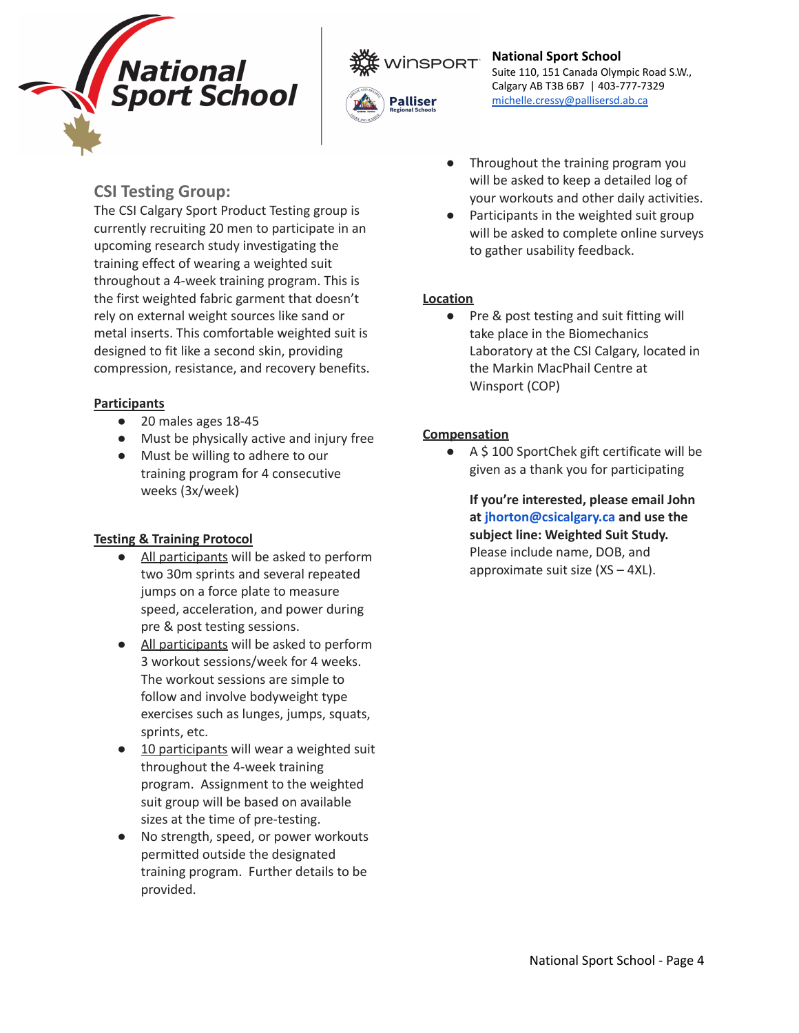



# **CSI Testing Group:**

The CSI Calgary Sport Product Testing group is currently recruiting 20 men to participate in an upcoming research study investigating the training effect of wearing a weighted suit throughout a 4-week training program. This is the first weighted fabric garment that doesn't rely on external weight sources like sand or metal inserts. This comfortable weighted suit is designed to fit like a second skin, providing compression, resistance, and recovery benefits.

## **Participants**

- 20 males ages 18-45
- Must be physically active and injury free
- Must be willing to adhere to our training program for 4 consecutive weeks (3x/week)

# **Testing & Training Protocol**

- All participants will be asked to perform two 30m sprints and several repeated jumps on a force plate to measure speed, acceleration, and power during pre & post testing sessions.
- All participants will be asked to perform 3 workout sessions/week for 4 weeks. The workout sessions are simple to follow and involve bodyweight type exercises such as lunges, jumps, squats, sprints, etc.
- 10 participants will wear a weighted suit throughout the 4-week training program. Assignment to the weighted suit group will be based on available sizes at the time of pre-testing.
- No strength, speed, or power workouts permitted outside the designated training program. Further details to be provided.
- Throughout the training program you will be asked to keep a detailed log of your workouts and other daily activities.
- Participants in the weighted suit group will be asked to complete online surveys to gather usability feedback.

# **Location**

● Pre & post testing and suit fitting will take place in the Biomechanics Laboratory at the CSI Calgary, located in the Markin MacPhail Centre at Winsport (COP)

## **Compensation**

● A \$ 100 SportChek gift certificate will be given as a thank you for participating

**If you're interested, please email John at jhorton@csicalgary.ca and use the subject line: Weighted Suit Study.** Please include name, DOB, and approximate suit size  $(XS - 4XL)$ .